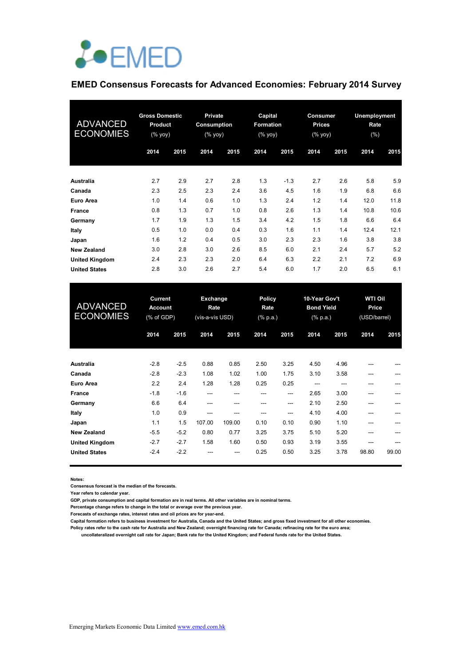

# **EMED Consensus Forecasts for Advanced Economies: February 2014 Survey**

| <b>ADVANCED</b><br><b>ECONOMIES</b> | <b>Gross Domestic</b><br><b>Product</b><br>$(%$ (% yoy) |      | <b>Private</b><br>Consumption<br>(% yoy) |      | Capital<br>Formation<br>(% yoy) |        | Consumer<br><b>Prices</b><br>(% yoy) |      | Unemployment<br>Rate<br>(%) |      |
|-------------------------------------|---------------------------------------------------------|------|------------------------------------------|------|---------------------------------|--------|--------------------------------------|------|-----------------------------|------|
|                                     | 2014                                                    | 2015 | 2014                                     | 2015 | 2014                            | 2015   | 2014                                 | 2015 | 2014                        | 2015 |
| Australia                           | 2.7                                                     | 2.9  | 2.7                                      | 2.8  | 1.3                             | $-1.3$ | 2.7                                  | 2.6  | 5.8                         | 5.9  |
| Canada                              | 2.3                                                     | 2.5  | 2.3                                      | 2.4  | 3.6                             | 4.5    | 1.6                                  | 1.9  | 6.8                         | 6.6  |
| Euro Area                           | 1.0                                                     | 1.4  | 0.6                                      | 1.0  | 1.3                             | 2.4    | 1.2                                  | 1.4  | 12.0                        | 11.8 |
| France                              | 0.8                                                     | 1.3  | 0.7                                      | 1.0  | 0.8                             | 2.6    | 1.3                                  | 1.4  | 10.8                        | 10.6 |
| Germany                             | 1.7                                                     | 1.9  | 1.3                                      | 1.5  | 3.4                             | 4.2    | 1.5                                  | 1.8  | 6.6                         | 6.4  |
| Italy                               | 0.5                                                     | 1.0  | 0.0                                      | 0.4  | 0.3                             | 1.6    | 1.1                                  | 1.4  | 12.4                        | 12.1 |
| Japan                               | 1.6                                                     | 1.2  | 0.4                                      | 0.5  | 3.0                             | 2.3    | 2.3                                  | 1.6  | 3.8                         | 3.8  |
| <b>New Zealand</b>                  | 3.0                                                     | 2.8  | 3.0                                      | 2.6  | 8.5                             | 6.0    | 2.1                                  | 2.4  | 5.7                         | 5.2  |
| <b>United Kingdom</b>               | 2.4                                                     | 2.3  | 2.3                                      | 2.0  | 6.4                             | 6.3    | 2.2                                  | 2.1  | 7.2                         | 6.9  |
| <b>United States</b>                | 2.8                                                     | 3.0  | 2.6                                      | 2.7  | 5.4                             | 6.0    | 1.7                                  | 2.0  | 6.5                         | 6.1  |

| <b>ADVANCED</b><br><b>ECONOMIES</b> | <b>Current</b><br><b>Account</b><br>(% of GDP) |        | Exchange<br>Rate<br>(vis-a-vis USD) |        | <b>Policy</b><br>Rate<br>(% p.a.) |       | 10-Year Gov't<br><b>Bond Yield</b><br>(% p.a.) |      | <b>WTI Oil</b><br>Price<br>(USD/barrel) |       |  |
|-------------------------------------|------------------------------------------------|--------|-------------------------------------|--------|-----------------------------------|-------|------------------------------------------------|------|-----------------------------------------|-------|--|
|                                     | 2014                                           | 2015   | 2014                                | 2015   | 2014                              | 2015  | 2014                                           | 2015 | 2014                                    | 2015  |  |
| <b>Australia</b>                    | $-2.8$                                         | $-2.5$ | 0.88                                | 0.85   | 2.50                              | 3.25  | 4.50                                           | 4.96 | ---                                     |       |  |
| Canada                              | $-2.8$                                         | $-2.3$ | 1.08                                | 1.02   | 1.00                              | 1.75  | 3.10                                           | 3.58 | ---                                     |       |  |
| <b>Euro Area</b>                    | 2.2                                            | 2.4    | 1.28                                | 1.28   | 0.25                              | 0.25  | $---$                                          | ---  |                                         |       |  |
| <b>France</b>                       | $-1.8$                                         | $-1.6$ | ---                                 |        |                                   | ---   | 2.65                                           | 3.00 |                                         |       |  |
| Germany                             | 6.6                                            | 6.4    | ---                                 | ---    | ---                               | $---$ | 2.10                                           | 2.50 |                                         |       |  |
| Italy                               | 1.0                                            | 0.9    | ---                                 |        | ---                               | $---$ | 4.10                                           | 4.00 | ---                                     |       |  |
| Japan                               | 1.1                                            | 1.5    | 107.00                              | 109.00 | 0.10                              | 0.10  | 0.90                                           | 1.10 | ---                                     |       |  |
| <b>New Zealand</b>                  | $-5.5$                                         | $-5.2$ | 0.80                                | 0.77   | 3.25                              | 3.75  | 5.10                                           | 5.20 |                                         |       |  |
| <b>United Kingdom</b>               | $-2.7$                                         | $-2.7$ | 1.58                                | 1.60   | 0.50                              | 0.93  | 3.19                                           | 3.55 |                                         |       |  |
| <b>United States</b>                | $-2.4$                                         | $-2.2$ |                                     | ---    | 0.25                              | 0.50  | 3.25                                           | 3.78 | 98.80                                   | 99.00 |  |

**Notes:** 

**Consensus forecast is the median of the forecasts.**

**Year refers to calendar year.**

**GDP, private consumption and capital formation are in real terms. All other variables are in nominal terms.**

**Percentage change refers to change in the total or average over the previous year.**

**Forecasts of exchange rates, interest rates and oil prices are for year-end.**

**Capital formation refers to business investment for Australia, Canada and the United States; and gross fixed investment for all other economies.**

**Policy rates refer to the cash rate for Australia and New Zealand; overnight financing rate for Canada; refinacing rate for the euro area; uncollateralized overnight call rate for Japan; Bank rate for the United Kingdom; and Federal funds rate for the United States.**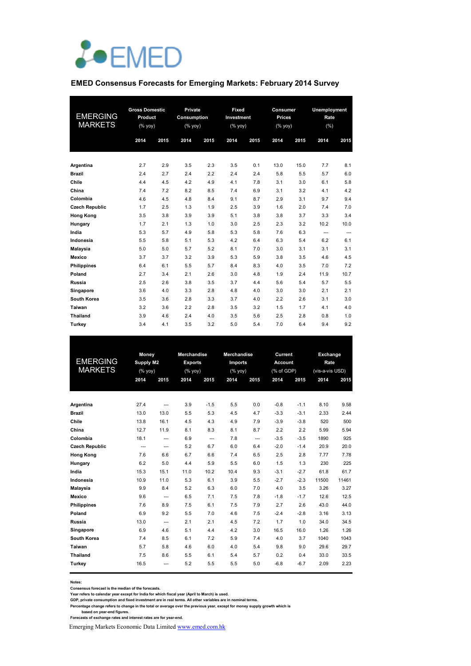

#### **EMED Consensus Forecasts for Emerging Markets: February 2014 Survey**

| <b>EMERGING</b><br><b>MARKETS</b> | <b>Gross Domestic</b><br>Product<br>(% |      | Private<br>Consumption<br>$(% \mathsf{Y}^{\prime }\mathsf{Y}^{\prime })$ |      | Fixed<br>Investment<br>(% yoy) |      | Consumer<br><b>Prices</b><br>(% yoy) |      | <b>Unemployment</b><br>Rate<br>(%) |      |  |
|-----------------------------------|----------------------------------------|------|--------------------------------------------------------------------------|------|--------------------------------|------|--------------------------------------|------|------------------------------------|------|--|
|                                   | 2014                                   | 2015 | 2014                                                                     | 2015 | 2014                           | 2015 | 2014                                 | 2015 | 2014                               | 2015 |  |
| Argentina                         | 2.7                                    | 2.9  | 3.5                                                                      | 2.3  | 3.5                            | 0.1  | 13.0                                 | 15.0 | 7.7                                | 8.1  |  |
| <b>Brazil</b>                     | 2.4                                    | 2.7  | 2.4                                                                      | 2.2  | 2.4                            | 2.4  | 5.8                                  | 5.5  | 5.7                                | 6.0  |  |
| Chile                             | 4.4                                    | 4.5  | 4.2                                                                      | 4.9  | 4.1                            | 7.8  | 3.1                                  | 3.0  | 6.1                                | 5.8  |  |
| China                             | 7.4                                    | 7.2  | 8.2                                                                      | 8.5  | 7.4                            | 6.9  | 3.1                                  | 3.2  | 4.1                                | 4.2  |  |
| Colombia                          | 4.6                                    | 4.5  | 4.8                                                                      | 8.4  | 9.1                            | 8.7  | 2.9                                  | 3.1  | 9.7                                | 9.4  |  |
| <b>Czech Republic</b>             | 1.7                                    | 2.5  | 1.3                                                                      | 1.9  | 2.5                            | 3.9  | 1.6                                  | 2.0  | 7.4                                | 7.0  |  |
| <b>Hong Kong</b>                  | 3.5                                    | 3.8  | 3.9                                                                      | 3.9  | 5.1                            | 3.8  | 3.8                                  | 3.7  | 3.3                                | 3.4  |  |
| Hungary                           | 1.7                                    | 2.1  | 1.3                                                                      | 1.0  | 3.0                            | 2.5  | 2.3                                  | 3.2  | 10.2                               | 10.0 |  |
| India                             | 5.3                                    | 5.7  | 4.9                                                                      | 5.8  | 5.3                            | 5.8  | 7.6                                  | 6.3  | ---                                | ---  |  |
| Indonesia                         | 5.5                                    | 5.8  | 5.1                                                                      | 5.3  | 4.2                            | 6.4  | 6.3                                  | 5.4  | 6.2                                | 6.1  |  |
| <b>Malaysia</b>                   | 5.0                                    | 5.0  | 5.7                                                                      | 5.2  | 8.1                            | 7.0  | 3.0                                  | 3.1  | 3.1                                | 3.1  |  |
| Mexico                            | 3.7                                    | 3.7  | 3.2                                                                      | 3.9  | 5.3                            | 5.9  | 3.8                                  | 3.5  | 4.6                                | 4.5  |  |
| <b>Philippines</b>                | 6.4                                    | 6.1  | 5.5                                                                      | 5.7  | 8.4                            | 8.3  | 4.0                                  | 3.5  | 7.0                                | 7.2  |  |
| Poland                            | 2.7                                    | 3.4  | 2.1                                                                      | 2.6  | 3.0                            | 4.8  | 1.9                                  | 2.4  | 11.9                               | 10.7 |  |
| Russia                            | 2.5                                    | 2.6  | 3.8                                                                      | 3.5  | 3.7                            | 4.4  | 5.6                                  | 5.4  | 5.7                                | 5.5  |  |
| Singapore                         | 3.6                                    | 4.0  | 3.3                                                                      | 2.8  | 4.8                            | 4.0  | 3.0                                  | 3.0  | 2.1                                | 2.1  |  |
| South Korea                       | 3.5                                    | 3.6  | 2.8                                                                      | 3.3  | 3.7                            | 4.0  | 2.2                                  | 2.6  | 3.1                                | 3.0  |  |
| Taiwan                            | 3.2                                    | 3.6  | 2.2                                                                      | 2.8  | 3.5                            | 3.2  | 1.5                                  | 1.7  | 4.1                                | 4.0  |  |
| Thailand                          | 3.9                                    | 4.6  | 2.4                                                                      | 4.0  | 3.5                            | 5.6  | 2.5                                  | 2.8  | 0.8                                | 1.0  |  |
| Turkey                            | 3.4                                    | 4.1  | 3.5                                                                      | 3.2  | 5.0                            | 5.4  | 7.0                                  | 6.4  | 9.4                                | 9.2  |  |

|                       | Money            |                | <b>Merchandise</b> |        | <b>Merchandise</b> |      | Current        |        | Exchange        |       |
|-----------------------|------------------|----------------|--------------------|--------|--------------------|------|----------------|--------|-----------------|-------|
| <b>EMERGING</b>       | <b>Supply M2</b> |                | <b>Exports</b>     |        | <b>Imports</b>     |      | <b>Account</b> |        | Rate            |       |
| <b>MARKETS</b>        | (% yoy)          |                | $(%$ yoy)          |        | (% yoy)            |      | (% of GDP)     |        | (vis-a-vis USD) |       |
|                       | 2014             | 2015           | 2014               | 2015   | 2014               | 2015 | 2014           | 2015   | 2014            | 2015  |
|                       |                  |                |                    |        |                    |      |                |        |                 |       |
| Argentina             | 27.4             | $\overline{a}$ | 3.9                | $-1.5$ | 5.5                | 0.0  | $-0.8$         | $-1.1$ | 8.10            | 9.58  |
| <b>Brazil</b>         | 13.0             | 13.0           | 5.5                | 5.3    | 4.5                | 4.7  | $-3.3$         | $-3.1$ | 2.33            | 2.44  |
| Chile                 | 13.8             | 16.1           | 4.5                | 4.3    | 4.9                | 7.9  | $-3.9$         | $-3.8$ | 520             | 500   |
| China                 | 12.7             | 11.9           | 8.1                | 8.3    | 8.1                | 8.7  | 2.2            | 2.2    | 5.99            | 5.94  |
| Colombia              | 18.1             | $\overline{a}$ | 6.9                | ---    | 7.8                | ---  | $-3.5$         | $-3.5$ | 1890            | 925   |
| <b>Czech Republic</b> | $\overline{a}$   | $\overline{a}$ | 5.2                | 6.7    | 6.0                | 6.4  | $-2.0$         | $-1.4$ | 20.9            | 20.0  |
| <b>Hong Kong</b>      | 7.6              | 6.6            | 6.7                | 6.6    | 7.4                | 6.5  | 2.5            | 2.8    | 7.77            | 7.78  |
| Hungary               | 6.2              | 5.0            | 4.4                | 5.9    | 5.5                | 6.0  | 1.5            | 1.3    | 230             | 225   |
| India                 | 15.3             | 15.1           | 11.0               | 10.2   | 10.4               | 9.3  | $-3.1$         | $-2.7$ | 61.8            | 61.7  |
| Indonesia             | 10.9             | 11.0           | 5.3                | 6.1    | 3.9                | 5.5  | $-2.7$         | $-2.3$ | 11500           | 11461 |
| Malaysia              | 9.9              | 8.4            | 5.2                | 6.3    | 6.0                | 7.0  | 4.0            | 3.5    | 3.26            | 3.27  |
| <b>Mexico</b>         | 9.6              | ---            | 6.5                | 7.1    | 7.5                | 7.8  | $-1.8$         | $-1.7$ | 12.6            | 12.5  |
| <b>Philippines</b>    | 7.6              | 8.9            | 7.5                | 6.1    | 7.5                | 7.9  | 2.7            | 2.6    | 43.0            | 44.0  |
| Poland                | 6.9              | 9.2            | 5.5                | 7.0    | 4.6                | 7.5  | $-2.4$         | $-2.8$ | 3.16            | 3.13  |
| Russia                | 13.0             | ---            | 2.1                | 2.1    | 4.5                | 7.2  | 1.7            | 1.0    | 34.0            | 34.5  |
| Singapore             | 6.9              | 4.6            | 5.1                | 4.4    | 4.2                | 3.0  | 16.5           | 16.0   | 1.26            | 1.26  |
| South Korea           | 7.4              | 8.5            | 6.1                | 7.2    | 5.9                | 7.4  | 4.0            | 3.7    | 1040            | 1043  |
| Taiwan                | 5.7              | 5.8            | 4.6                | 6.0    | 4.0                | 5.4  | 9.8            | 9.0    | 29.6            | 29.7  |
| Thailand              | 7.5              | 8.6            | 5.5                | 6.1    | 5.4                | 5.7  | 0.2            | 0.4    | 33.0            | 33.5  |
| Turkey                | 16.5             | ---            | 5.2                | 5.5    | 5.5                | 5.0  | $-6.8$         | $-6.7$ | 2.09            | 2.23  |
|                       |                  |                |                    |        |                    |      |                |        |                 |       |

**Notes:** 

Consensus forecast is the median of the forecasts.<br>Year refers to calendar year except for India for which fiscal year (April to March) is used.<br>GDP, private consumption and fixed investment are in real terms. All other va

Emerging Markets Economic Data Limited www.emed.com.hk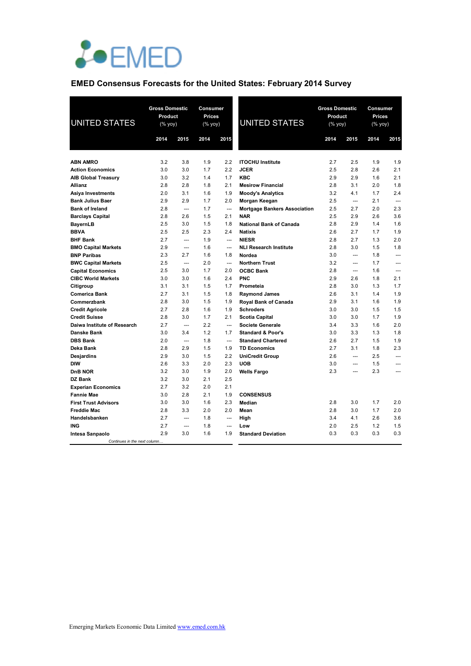

# **EMED Consensus Forecasts for the United States: February 2014 Survey**

| <b>UNITED STATES</b>         | <b>Gross Domestic</b><br>Product<br>(% yoy) |                          | Consumer<br><b>Prices</b><br>$(\%$ yoy) |                          | <b>UNITED STATES</b>                | <b>Gross Domestic</b><br><b>Product</b><br>(% yoy) |                          | Consumer<br>Prices<br>$(\%$ yoy) |                          |
|------------------------------|---------------------------------------------|--------------------------|-----------------------------------------|--------------------------|-------------------------------------|----------------------------------------------------|--------------------------|----------------------------------|--------------------------|
|                              | 2014                                        | 2015                     | 2014                                    | 2015                     |                                     | 2014                                               | 2015                     | 2014                             | 2015                     |
|                              |                                             |                          |                                         |                          |                                     |                                                    |                          |                                  |                          |
| <b>ABN AMRO</b>              | 3.2                                         | 3.8                      | 1.9                                     | 2.2                      | <b>ITOCHU Institute</b>             | 2.7                                                | 2.5                      | 1.9                              | 1.9                      |
| <b>Action Economics</b>      | 3.0                                         | 3.0                      | 1.7                                     | 2.2                      | <b>JCER</b>                         | 2.5                                                | 2.8                      | 2.6                              | 2.1                      |
| <b>AIB Global Treasury</b>   | 3.0                                         | 3.2                      | 1.4                                     | 1.7                      | <b>KBC</b>                          | 2.9                                                | 2.9                      | 1.6                              | 2.1                      |
| Allianz                      | 2.8                                         | 2.8                      | 1.8                                     | 2.1                      | <b>Mesirow Financial</b>            | 2.8                                                | 3.1                      | 2.0                              | 1.8                      |
| Asiya Investments            | 2.0                                         | 3.1                      | 1.6                                     | 1.9                      | <b>Moody's Analytics</b>            | 3.2                                                | 4.1                      | 1.7                              | 2.4                      |
| <b>Bank Julius Baer</b>      | 2.9                                         | 2.9                      | 1.7                                     | 2.0                      | Morgan Keegan                       | 2.5                                                | $\overline{a}$           | 2.1                              | $\overline{a}$           |
| <b>Bank of Ireland</b>       | 2.8                                         | $\sim$                   | 1.7                                     | $\overline{a}$           | <b>Mortgage Bankers Association</b> | 2.5                                                | 2.7                      | 2.0                              | 2.3                      |
| <b>Barclays Capital</b>      | 2.8                                         | 2.6                      | 1.5                                     | 2.1                      | <b>NAR</b>                          | 2.5                                                | 2.9                      | 2.6                              | 3.6                      |
| <b>BayernLB</b>              | 2.5                                         | 3.0                      | 1.5                                     | 1.8                      | <b>National Bank of Canada</b>      | 2.8                                                | 2.9                      | 1.4                              | 1.6                      |
| <b>BBVA</b>                  | 2.5                                         | 2.5                      | 2.3                                     | 2.4                      | <b>Natixis</b>                      | 2.6                                                | 2.7                      | 1.7                              | 1.9                      |
| <b>BHF Bank</b>              | 2.7                                         | $\overline{a}$           | 1.9                                     | $\overline{\phantom{a}}$ | <b>NIESR</b>                        | 2.8                                                | 2.7                      | 1.3                              | 2.0                      |
| <b>BMO Capital Markets</b>   | 2.9                                         | $\overline{a}$           | 1.6                                     | $\overline{a}$           | <b>NLI Research Institute</b>       | 2.8                                                | 3.0                      | 1.5                              | 1.8                      |
| <b>BNP Paribas</b>           | 2.3                                         | 2.7                      | 1.6                                     | 1.8                      | Nordea                              | 3.0                                                | $\overline{a}$           | 1.8                              | $\overline{\phantom{a}}$ |
| <b>BWC Capital Markets</b>   | 2.5                                         | $\overline{a}$           | 2.0                                     | $\overline{a}$           | <b>Northern Trust</b>               | 3.2                                                | ---                      | 1.7                              | ---                      |
| <b>Capital Economics</b>     | 2.5                                         | 3.0                      | 1.7                                     | 2.0                      | <b>OCBC Bank</b>                    | 2.8                                                | $\overline{\phantom{a}}$ | 1.6                              | $\overline{a}$           |
| <b>CIBC World Markets</b>    | 3.0                                         | 3.0                      | 1.6                                     | 2.4                      | <b>PNC</b>                          | 2.9                                                | 2.6                      | 1.8                              | 2.1                      |
| Citigroup                    | 3.1                                         | 3.1                      | 1.5                                     | 1.7                      | Prometeia                           | 2.8                                                | 3.0                      | 1.3                              | 1.7                      |
| <b>Comerica Bank</b>         | 2.7                                         | 3.1                      | 1.5                                     | 1.8                      | <b>Raymond James</b>                | 2.6                                                | 3.1                      | 1.4                              | 1.9                      |
| Commerzbank                  | 2.8                                         | 3.0                      | 1.5                                     | 1.9                      | <b>Royal Bank of Canada</b>         | 2.9                                                | 3.1                      | 1.6                              | 1.9                      |
| <b>Credit Agricole</b>       | 2.7                                         | 2.8                      | 1.6                                     | 1.9                      | <b>Schroders</b>                    | 3.0                                                | 3.0                      | 1.5                              | 1.5                      |
| <b>Credit Suisse</b>         | 2.8                                         | 3.0                      | 1.7                                     | 2.1                      | <b>Scotia Capital</b>               | 3.0                                                | 3.0                      | 1.7                              | 1.9                      |
| Daiwa Institute of Research  | 2.7                                         | $\sim$                   | 2.2                                     | $\overline{\phantom{a}}$ | <b>Societe Generale</b>             | 3.4                                                | 3.3                      | 1.6                              | 2.0                      |
| <b>Danske Bank</b>           | 3.0                                         | 3.4                      | 1.2                                     | 1.7                      | <b>Standard &amp; Poor's</b>        | 3.0                                                | 3.3                      | 1.3                              | 1.8                      |
| <b>DBS Bank</b>              | 2.0                                         | $\overline{\phantom{a}}$ | 1.8                                     | $\overline{a}$           | <b>Standard Chartered</b>           | 2.6                                                | 2.7                      | 1.5                              | 1.9                      |
| Deka Bank                    | 2.8                                         | 2.9                      | 1.5                                     | 1.9                      | <b>TD Economics</b>                 | 2.7                                                | 3.1                      | 1.8                              | 2.3                      |
| Desjardins                   | 2.9                                         | 3.0                      | 1.5                                     | 2.2                      | <b>UniCredit Group</b>              | 2.6                                                | $\overline{a}$           | 2.5                              | $\overline{a}$           |
| <b>DIW</b>                   | 2.6                                         | 3.3                      | 2.0                                     | 2.3                      | <b>UOB</b>                          | 3.0                                                | $\overline{a}$           | 1.5                              | $\overline{a}$           |
| DnB NOR                      | 3.2                                         | 3.0                      | 1.9                                     | 2.0                      | <b>Wells Fargo</b>                  | 2.3                                                | $\overline{a}$           | 2.3                              | $\overline{a}$           |
| DZ Bank                      | 3.2                                         | 3.0                      | 2.1                                     | 2.5                      |                                     |                                                    |                          |                                  |                          |
| <b>Experian Economics</b>    | 2.7                                         | 3.2                      | 2.0                                     | 2.1                      |                                     |                                                    |                          |                                  |                          |
| <b>Fannie Mae</b>            | 3.0                                         | 2.8                      | 2.1                                     | 1.9                      | <b>CONSENSUS</b>                    |                                                    |                          |                                  |                          |
| <b>First Trust Advisors</b>  | 3.0                                         | 3.0                      | 1.6                                     | 2.3                      | Median                              | 2.8                                                | 3.0                      | 1.7                              | 2.0                      |
| <b>Freddie Mac</b>           | 2.8                                         | 3.3                      | 2.0                                     | 2.0                      | Mean                                | 2.8                                                | 3.0                      | 1.7                              | 2.0                      |
| Handelsbanken                | 2.7                                         | $\overline{a}$           | 1.8                                     | ---                      | High                                | 3.4                                                | 4.1                      | 2.6                              | 3.6                      |
| ING                          | 2.7                                         | $---$                    | 1.8                                     | $---$                    | Low                                 | 2.0                                                | 2.5                      | 1.2                              | 1.5                      |
| Intesa Sanpaolo              | 2.9                                         | 3.0                      | 1.6                                     | 1.9                      | <b>Standard Deviation</b>           | 0.3                                                | 0.3                      | 0.3                              | 0.3                      |
| Continues in the next column |                                             |                          |                                         |                          |                                     |                                                    |                          |                                  |                          |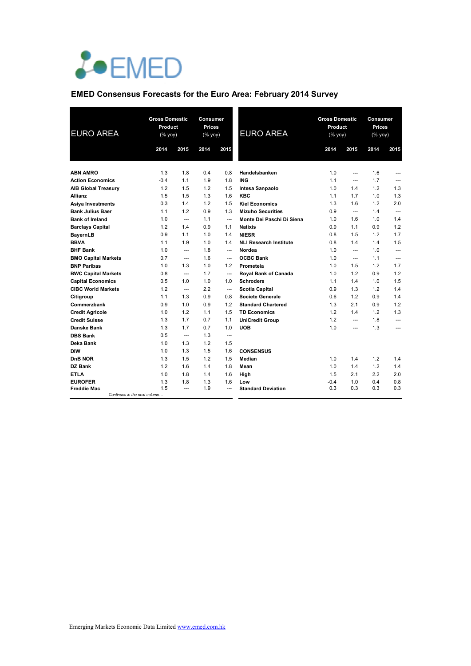

# **EMED Consensus Forecasts for the Euro Area: February 2014 Survey**

| <b>EURO AREA</b>           |                              | <b>Gross Domestic</b><br>Product<br>(% yoy) |      | <b>Consumer</b><br>Prices<br>(% yoy) | <b>EURO AREA</b>              | <b>Gross Domestic</b><br>Product<br>(% yoy) |                          | Consumer<br>Prices<br>(% yoy) |                |
|----------------------------|------------------------------|---------------------------------------------|------|--------------------------------------|-------------------------------|---------------------------------------------|--------------------------|-------------------------------|----------------|
|                            | 2014                         | 2015                                        | 2014 | 2015                                 |                               | 2014                                        | 2015                     | 2014                          | 2015           |
| <b>ABN AMRO</b>            | 1.3                          | 1.8                                         | 0.4  | 0.8                                  | Handelsbanken                 | 1.0                                         | $\overline{a}$           | 1.6                           | ---            |
| <b>Action Economics</b>    | $-0.4$                       | 1.1                                         | 1.9  | 1.8                                  | <b>ING</b>                    | 1.1                                         | $\overline{\phantom{a}}$ | 1.7                           | $\overline{a}$ |
| <b>AIB Global Treasury</b> | 1.2                          | 1.5                                         | 1.2  | 1.5                                  | Intesa Sanpaolo               | 1.0                                         | 1.4                      | 1.2                           | 1.3            |
| <b>Allianz</b>             | 1.5                          | 1.5                                         | 1.3  | 1.6                                  | <b>KBC</b>                    | 1.1                                         | 1.7                      | 1.0                           | 1.3            |
| Asiya Investments          | 0.3                          | 1.4                                         | 1.2  | 1.5                                  | <b>Kiel Economics</b>         | 1.3                                         | 1.6                      | 1.2                           | 2.0            |
| <b>Bank Julius Baer</b>    | 1.1                          | 1.2                                         | 0.9  | 1.3                                  | <b>Mizuho Securities</b>      | 0.9                                         | $\overline{\phantom{a}}$ | 1.4                           | $\overline{a}$ |
| <b>Bank of Ireland</b>     | 1.0                          | $\overline{a}$                              | 1.1  | $\overline{a}$                       | Monte Dei Paschi Di Siena     | 1.0                                         | 1.6                      | 1.0                           | 1.4            |
| <b>Barclays Capital</b>    | 1.2                          | 1.4                                         | 0.9  | 1.1                                  | <b>Natixis</b>                | 0.9                                         | 1.1                      | 0.9                           | 1.2            |
| <b>BayernLB</b>            | 0.9                          | 1.1                                         | 1.0  | 1.4                                  | <b>NIESR</b>                  | 0.8                                         | 1.5                      | 1.2                           | 1.7            |
| <b>BBVA</b>                | 1.1                          | 1.9                                         | 1.0  | 1.4                                  | <b>NLI Research Institute</b> | 0.8                                         | 1.4                      | 1.4                           | 1.5            |
| <b>BHF Bank</b>            | 1.0                          | $\overline{a}$                              | 1.8  | ---                                  | Nordea                        | 1.0                                         | $\overline{a}$           | 1.0                           | $\overline{a}$ |
| <b>BMO Capital Markets</b> | 0.7                          | $\overline{a}$                              | 1.6  | $---$                                | <b>OCBC Bank</b>              | 1.0                                         | $\overline{a}$           | 1.1                           | $\overline{a}$ |
| <b>BNP Paribas</b>         | 1.0                          | 1.3                                         | 1.0  | 1.2                                  | Prometeia                     | 1.0                                         | 1.5                      | 1.2                           | 1.7            |
| <b>BWC Capital Markets</b> | 0.8                          | ---                                         | 1.7  | ---                                  | Royal Bank of Canada          | 1.0                                         | 1.2                      | 0.9                           | 1.2            |
| <b>Capital Economics</b>   | 0.5                          | 1.0                                         | 1.0  | 1.0                                  | <b>Schroders</b>              | 1.1                                         | 1.4                      | 1.0                           | 1.5            |
| <b>CIBC World Markets</b>  | 1.2                          | ---                                         | 2.2  | ---                                  | <b>Scotia Capital</b>         | 0.9                                         | 1.3                      | 1.2                           | 1.4            |
| Citigroup                  | 1.1                          | 1.3                                         | 0.9  | 0.8                                  | Societe Generale              | 0.6                                         | 1.2                      | 0.9                           | 1.4            |
| Commerzbank                | 0.9                          | 1.0                                         | 0.9  | 1.2                                  | <b>Standard Chartered</b>     | 1.3                                         | 2.1                      | 0.9                           | 1.2            |
| <b>Credit Agricole</b>     | 1.0                          | 1.2                                         | 1.1  | 1.5                                  | <b>TD Economics</b>           | 1.2                                         | 1.4                      | 1.2                           | 1.3            |
| <b>Credit Suisse</b>       | 1.3                          | 1.7                                         | 0.7  | 1.1                                  | <b>UniCredit Group</b>        | 1.2                                         | ---                      | 1.8                           | ---            |
| Danske Bank                | 1.3                          | 1.7                                         | 0.7  | 1.0                                  | <b>UOB</b>                    | 1.0                                         | ---                      | 1.3                           | ---            |
| <b>DBS Bank</b>            | 0.5                          | $\overline{a}$                              | 1.3  | $\overline{a}$                       |                               |                                             |                          |                               |                |
| Deka Bank                  | 1.0                          | 1.3                                         | 1.2  | 1.5                                  |                               |                                             |                          |                               |                |
| <b>DIW</b>                 | 1.0                          | 1.3                                         | 1.5  | 1.6                                  | <b>CONSENSUS</b>              |                                             |                          |                               |                |
| DnB NOR                    | 1.3                          | 1.5                                         | 1.2  | 1.5                                  | Median                        | 1.0                                         | 1.4                      | 1.2                           | 1.4            |
| <b>DZ Bank</b>             | 1.2                          | 1.6                                         | 1.4  | 1.8                                  | Mean                          | 1.0                                         | 1.4                      | 1.2                           | 1.4            |
| <b>ETLA</b>                | 1.0                          | 1.8                                         | 1.4  | 1.6                                  | High                          | 1.5                                         | 2.1                      | 2.2                           | 2.0            |
| <b>EUROFER</b>             | 1.3                          | 1.8                                         | 1.3  | 1.6                                  | Low                           | $-0.4$                                      | 1.0                      | 0.4                           | 0.8            |
| <b>Freddie Mac</b>         | 1.5                          | $\overline{a}$                              | 1.9  | $\overline{a}$                       | <b>Standard Deviation</b>     | 0.3                                         | 0.3                      | 0.3                           | 0.3            |
|                            | Continues in the next column |                                             |      |                                      |                               |                                             |                          |                               |                |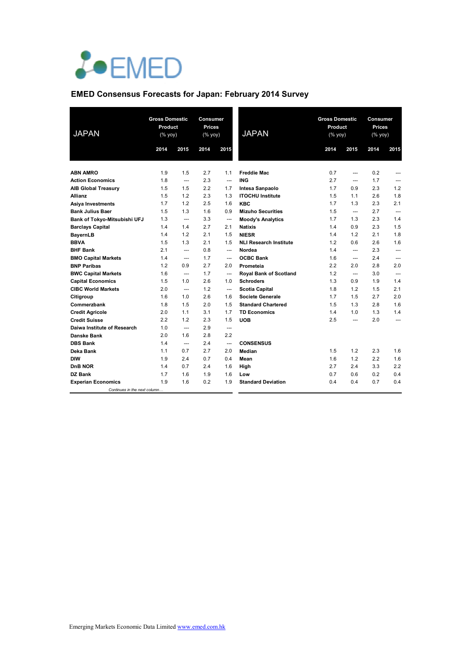

# **EMED Consensus Forecasts for Japan: February 2014 Survey**

| <b>JAPAN</b>                 | <b>Gross Domestic</b><br>Product<br>(% yoy) |                        | Consumer<br><b>Prices</b><br>(% yoy) |                | <b>JAPAN</b>                  | <b>Gross Domestic</b><br>Product<br>(% yoy) |                          | Consumer<br><b>Prices</b><br>(% yoy) |                |
|------------------------------|---------------------------------------------|------------------------|--------------------------------------|----------------|-------------------------------|---------------------------------------------|--------------------------|--------------------------------------|----------------|
|                              | 2014                                        | 2015                   | 2014                                 | 2015           |                               | 2014                                        | 2015                     | 2014                                 | 2015           |
| <b>ABN AMRO</b>              | 1.9                                         | 1.5                    | 2.7                                  | 1.1            | <b>Freddie Mac</b>            | 0.7                                         | $\overline{a}$           | 0.2                                  | ---            |
| <b>Action Economics</b>      | 1.8                                         | $\qquad \qquad -$      | 2.3                                  | $\overline{a}$ | <b>ING</b>                    | 2.7                                         | $- - -$                  | 1.7                                  | ---            |
| <b>AIB Global Treasury</b>   | 1.5                                         | 1.5                    | 2.2                                  | 1.7            | Intesa Sanpaolo               | 1.7                                         | 0.9                      | 2.3                                  | 1.2            |
| <b>Allianz</b>               | 1.5                                         | 1.2                    | 2.3                                  | 1.3            | <b>ITOCHU Institute</b>       | 1.5                                         | 1.1                      | 2.6                                  | 1.8            |
| Asiya Investments            | 1.7                                         | 1.2                    | 2.5                                  | 1.6            | <b>KBC</b>                    | 1.7                                         | 1.3                      | 2.3                                  | 2.1            |
| <b>Bank Julius Baer</b>      | 1.5                                         | 1.3                    | 1.6                                  | 0.9            | <b>Mizuho Securities</b>      | 1.5                                         | $\overline{\phantom{a}}$ | 2.7                                  | $\overline{a}$ |
| Bank of Tokyo-Mitsubishi UFJ | 1.3                                         | $\qquad \qquad -$      | 3.3                                  | ---            | <b>Moody's Analytics</b>      | 1.7                                         | 1.3                      | 2.3                                  | 1.4            |
| <b>Barclays Capital</b>      | 1.4                                         | 1.4                    | 2.7                                  | 2.1            | <b>Natixis</b>                | 1.4                                         | 0.9                      | 2.3                                  | 1.5            |
| <b>BayernLB</b>              | 1.4                                         | 1.2                    | 2.1                                  | 1.5            | <b>NIESR</b>                  | 1.4                                         | 1.2                      | 2.1                                  | 1.8            |
| <b>BBVA</b>                  | 1.5                                         | 1.3                    | 2.1                                  | 1.5            | <b>NLI Research Institute</b> | 1.2                                         | 0.6                      | 2.6                                  | 1.6            |
| <b>BHF Bank</b>              | 2.1                                         | $---$                  | 0.8                                  | $\overline{a}$ | Nordea                        | 1.4                                         | $\overline{a}$           | 2.3                                  | $\overline{a}$ |
| <b>BMO Capital Markets</b>   | 1.4                                         | $\qquad \qquad \cdots$ | 1.7                                  | ---            | <b>OCBC Bank</b>              | 1.6                                         | $\hspace{0.05cm} \ldots$ | 2.4                                  | $\overline{a}$ |
| <b>BNP Paribas</b>           | 1.2                                         | 0.9                    | 2.7                                  | 2.0            | Prometeia                     | 2.2                                         | 2.0                      | 2.8                                  | 2.0            |
| <b>BWC Capital Markets</b>   | 1.6                                         | ---                    | 1.7                                  | $\overline{a}$ | Royal Bank of Scotland        | 1.2                                         | ---                      | 3.0                                  | ---            |
| <b>Capital Economics</b>     | 1.5                                         | 1.0                    | 2.6                                  | 1.0            | <b>Schroders</b>              | 1.3                                         | 0.9                      | 1.9                                  | 1.4            |
| <b>CIBC World Markets</b>    | 2.0                                         | $---$                  | 1.2                                  | $\overline{a}$ | <b>Scotia Capital</b>         | 1.8                                         | 1.2                      | 1.5                                  | 2.1            |
| Citigroup                    | 1.6                                         | 1.0                    | 2.6                                  | 1.6            | <b>Societe Generale</b>       | 1.7                                         | 1.5                      | 2.7                                  | 2.0            |
| Commerzbank                  | 1.8                                         | 1.5                    | 2.0                                  | 1.5            | <b>Standard Chartered</b>     | 1.5                                         | 1.3                      | 2.8                                  | 1.6            |
| <b>Credit Agricole</b>       | 2.0                                         | 1.1                    | 3.1                                  | 1.7            | <b>TD Economics</b>           | 1.4                                         | 1.0                      | 1.3                                  | 1.4            |
| <b>Credit Suisse</b>         | 2.2                                         | 1.2                    | 2.3                                  | 1.5            | <b>UOB</b>                    | 2.5                                         | ---                      | 2.0                                  | ---            |
| Daiwa Institute of Research  | 1.0                                         | $\overline{a}$         | 2.9                                  | $\overline{a}$ |                               |                                             |                          |                                      |                |
| Danske Bank                  | 2.0                                         | 1.6                    | 2.8                                  | 2.2            |                               |                                             |                          |                                      |                |
| <b>DBS Bank</b>              | 1.4                                         | $\overline{a}$         | 2.4                                  | $\overline{a}$ | <b>CONSENSUS</b>              |                                             |                          |                                      |                |
| Deka Bank                    | 1.1                                         | 0.7                    | 2.7                                  | 2.0            | Median                        | 1.5                                         | 1.2                      | 2.3                                  | 1.6            |
| <b>DIW</b>                   | 1.9                                         | 2.4                    | 0.7                                  | 0.4            | Mean                          | 1.6                                         | 1.2                      | 2.2                                  | 1.6            |
| <b>DnB NOR</b>               | 1.4                                         | 0.7                    | 2.4                                  | 1.6            | High                          | 2.7                                         | 2.4                      | 3.3                                  | 2.2            |
| <b>DZ Bank</b>               | 1.7                                         | 1.6                    | 1.9                                  | 1.6            | Low                           | 0.7                                         | 0.6                      | 0.2                                  | 0.4            |
| <b>Experian Economics</b>    | 1.9                                         | 1.6                    | 0.2                                  | 1.9            | <b>Standard Deviation</b>     | 0.4                                         | 0.4                      | 0.7                                  | 0.4            |
| Continues in the next column |                                             |                        |                                      |                |                               |                                             |                          |                                      |                |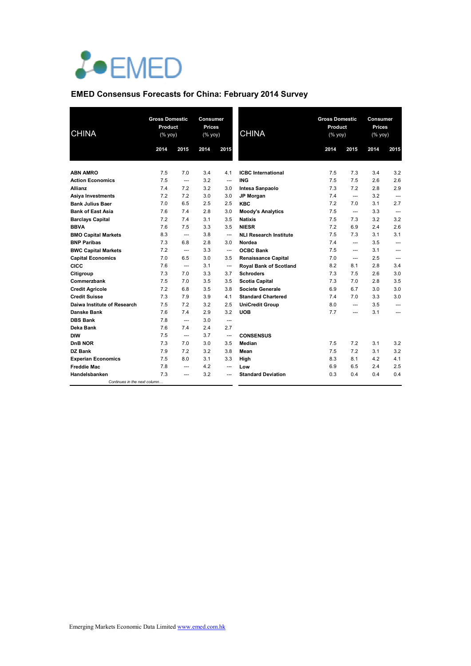

# **EMED Consensus Forecasts for China: February 2014 Survey**

| <b>CHINA</b>                 |      | <b>Gross Domestic</b><br>Product<br>(% yoy) |      | <b>Consumer</b><br><b>Prices</b><br>(% yoy) | <b>CHINA</b>                  | <b>Gross Domestic</b><br>Product<br>(% yoy) |                          | Consumer<br><b>Prices</b><br>(% yoy) |                |
|------------------------------|------|---------------------------------------------|------|---------------------------------------------|-------------------------------|---------------------------------------------|--------------------------|--------------------------------------|----------------|
|                              | 2014 | 2015                                        | 2014 | 2015                                        |                               | 2014                                        | 2015                     | 2014                                 | 2015           |
| <b>ABN AMRO</b>              | 7.5  | 7.0                                         | 3.4  | 4.1                                         | <b>ICBC</b> International     | 7.5                                         | 7.3                      | 3.4                                  | 3.2            |
| <b>Action Economics</b>      | 7.5  | ---                                         | 3.2  | $\overline{a}$                              | <b>ING</b>                    | 7.5                                         | 7.5                      | 2.6                                  | 2.6            |
| <b>Allianz</b>               | 7.4  | 7.2                                         | 3.2  | 3.0                                         | Intesa Sanpaolo               | 7.3                                         | 7.2                      | 2.8                                  | 2.9            |
| <b>Asiya Investments</b>     | 7.2  | 7.2                                         | 3.0  | 3.0                                         | JP Morgan                     | 7.4                                         | $- - -$                  | 3.2                                  | ---            |
| <b>Bank Julius Baer</b>      | 7.0  | 6.5                                         | 2.5  | 2.5                                         | <b>KBC</b>                    | 7.2                                         | 7.0                      | 3.1                                  | 2.7            |
| <b>Bank of East Asia</b>     | 7.6  | 7.4                                         | 2.8  | 3.0                                         | <b>Moody's Analytics</b>      | 7.5                                         | $\overline{\phantom{a}}$ | 3.3                                  | ---            |
| <b>Barclays Capital</b>      | 7.2  | 7.4                                         | 3.1  | 3.5                                         | <b>Natixis</b>                | 7.5                                         | 7.3                      | 3.2                                  | 3.2            |
| <b>BBVA</b>                  | 7.6  | 7.5                                         | 3.3  | 3.5                                         | <b>NIESR</b>                  | 7.2                                         | 6.9                      | 2.4                                  | 2.6            |
| <b>BMO Capital Markets</b>   | 8.3  | ---                                         | 3.8  | ---                                         | <b>NLI Research Institute</b> | 7.5                                         | 7.3                      | 3.1                                  | 3.1            |
| <b>BNP Paribas</b>           | 7.3  | 6.8                                         | 2.8  | 3.0                                         | Nordea                        | 7.4                                         | $\overline{a}$           | 3.5                                  | $\overline{a}$ |
| <b>BWC Capital Markets</b>   | 7.2  | ---                                         | 3.3  | $\overline{\phantom{a}}$                    | <b>OCBC Bank</b>              | 7.5                                         | ---                      | 3.1                                  | ---            |
| <b>Capital Economics</b>     | 7.0  | 6.5                                         | 3.0  | 3.5                                         | <b>Renaissance Capital</b>    | 7.0                                         | $- - -$                  | 2.5                                  | ---            |
| CICC                         | 7.6  | ---                                         | 3.1  | ---                                         | <b>Royal Bank of Scotland</b> | 8.2                                         | 8.1                      | 2.8                                  | 3.4            |
| Citigroup                    | 7.3  | 7.0                                         | 3.3  | 3.7                                         | <b>Schroders</b>              | 7.3                                         | 7.5                      | 2.6                                  | 3.0            |
| Commerzbank                  | 7.5  | 7.0                                         | 3.5  | 3.5                                         | <b>Scotia Capital</b>         | 7.3                                         | 7.0                      | 2.8                                  | 3.5            |
| <b>Credit Agricole</b>       | 7.2  | 6.8                                         | 3.5  | 3.8                                         | <b>Societe Generale</b>       | 6.9                                         | 6.7                      | 3.0                                  | 3.0            |
| <b>Credit Suisse</b>         | 7.3  | 7.9                                         | 3.9  | 4.1                                         | <b>Standard Chartered</b>     | 7.4                                         | 7.0                      | 3.3                                  | 3.0            |
| Daiwa Institute of Research  | 7.5  | 7.2                                         | 3.2  | 2.5                                         | <b>UniCredit Group</b>        | 8.0                                         | $\overline{a}$           | 3.5                                  | ---            |
| Danske Bank                  | 7.6  | 7.4                                         | 2.9  | 3.2                                         | <b>UOB</b>                    | 7.7                                         | ---                      | 3.1                                  | ---            |
| <b>DBS Bank</b>              | 7.8  | ---                                         | 3.0  | ---                                         |                               |                                             |                          |                                      |                |
| Deka Bank                    | 7.6  | 7.4                                         | 2.4  | 2.7                                         |                               |                                             |                          |                                      |                |
| <b>DIW</b>                   | 7.5  | $\overline{a}$                              | 3.7  | $\overline{a}$                              | <b>CONSENSUS</b>              |                                             |                          |                                      |                |
| DnB NOR                      | 7.3  | 7.0                                         | 3.0  | 3.5                                         | Median                        | 7.5                                         | 7.2                      | 3.1                                  | 3.2            |
| <b>DZ Bank</b>               | 7.9  | 7.2                                         | 3.2  | 3.8                                         | Mean                          | 7.5                                         | 7.2                      | 3.1                                  | 3.2            |
| <b>Experian Economics</b>    | 7.5  | 8.0                                         | 3.1  | 3.3                                         | High                          | 8.3                                         | 8.1                      | 4.2                                  | 4.1            |
| <b>Freddie Mac</b>           | 7.8  | ---                                         | 4.2  |                                             | Low                           | 6.9                                         | 6.5                      | 2.4                                  | 2.5            |
| Handelsbanken                | 7.3  | ---                                         | 3.2  |                                             | <b>Standard Deviation</b>     | 0.3                                         | 0.4                      | 0.4                                  | 0.4            |
| Continues in the next column |      |                                             |      |                                             |                               |                                             |                          |                                      |                |